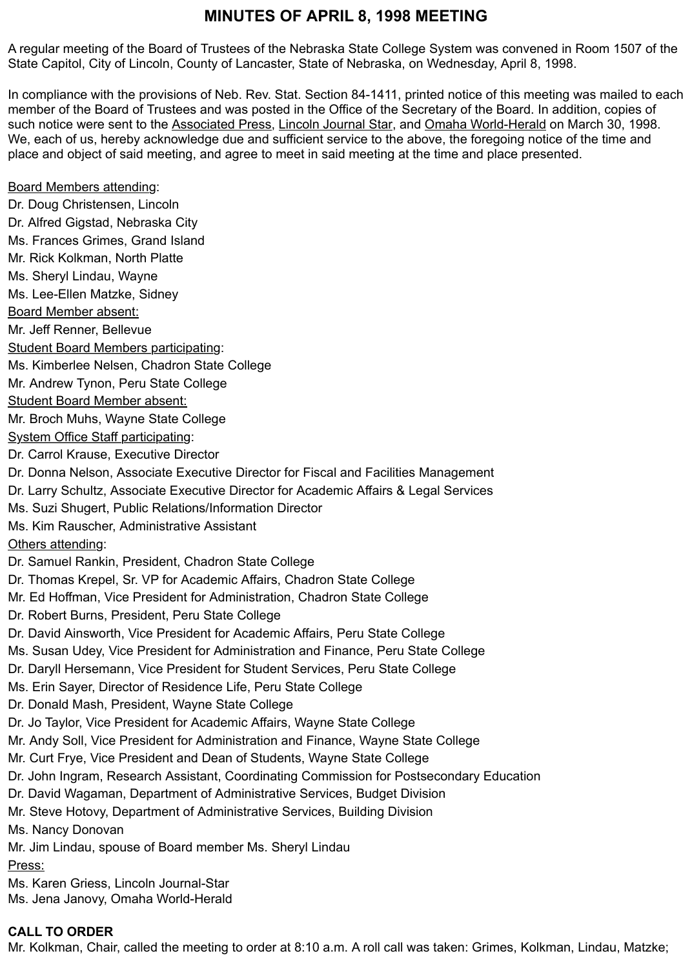# **MINUTES OF APRIL 8, 1998 MEETING**

A regular meeting of the Board of Trustees of the Nebraska State College System was convened in Room 1507 of the State Capitol, City of Lincoln, County of Lancaster, State of Nebraska, on Wednesday, April 8, 1998.

In compliance with the provisions of Neb. Rev. Stat. Section 84-1411, printed notice of this meeting was mailed to each member of the Board of Trustees and was posted in the Office of the Secretary of the Board. In addition, copies of such notice were sent to the Associated Press, Lincoln Journal Star, and Omaha World-Herald on March 30, 1998. We, each of us, hereby acknowledge due and sufficient service to the above, the foregoing notice of the time and place and object of said meeting, and agree to meet in said meeting at the time and place presented.

Board Members attending: Dr. Doug Christensen, Lincoln Dr. Alfred Gigstad, Nebraska City Ms. Frances Grimes, Grand Island Mr. Rick Kolkman, North Platte Ms. Sheryl Lindau, Wayne Ms. Lee-Ellen Matzke, Sidney Board Member absent: Mr. Jeff Renner, Bellevue Student Board Members participating: Ms. Kimberlee Nelsen, Chadron State College Mr. Andrew Tynon, Peru State College Student Board Member absent: Mr. Broch Muhs, Wayne State College System Office Staff participating: Dr. Carrol Krause, Executive Director Dr. Donna Nelson, Associate Executive Director for Fiscal and Facilities Management Dr. Larry Schultz, Associate Executive Director for Academic Affairs & Legal Services Ms. Suzi Shugert, Public Relations/Information Director Ms. Kim Rauscher, Administrative Assistant Others attending: Dr. Samuel Rankin, President, Chadron State College Dr. Thomas Krepel, Sr. VP for Academic Affairs, Chadron State College Mr. Ed Hoffman, Vice President for Administration, Chadron State College Dr. Robert Burns, President, Peru State College Dr. David Ainsworth, Vice President for Academic Affairs, Peru State College Ms. Susan Udey, Vice President for Administration and Finance, Peru State College Dr. Daryll Hersemann, Vice President for Student Services, Peru State College Ms. Erin Sayer, Director of Residence Life, Peru State College Dr. Donald Mash, President, Wayne State College Dr. Jo Taylor, Vice President for Academic Affairs, Wayne State College Mr. Andy Soll, Vice President for Administration and Finance, Wayne State College Mr. Curt Frye, Vice President and Dean of Students, Wayne State College Dr. John Ingram, Research Assistant, Coordinating Commission for Postsecondary Education Dr. David Wagaman, Department of Administrative Services, Budget Division Mr. Steve Hotovy, Department of Administrative Services, Building Division Ms. Nancy Donovan Mr. Jim Lindau, spouse of Board member Ms. Sheryl Lindau Press: Ms. Karen Griess, Lincoln Journal-Star Ms. Jena Janovy, Omaha World-Herald

#### **CALL TO ORDER**

Mr. Kolkman, Chair, called the meeting to order at 8:10 a.m. A roll call was taken: Grimes, Kolkman, Lindau, Matzke;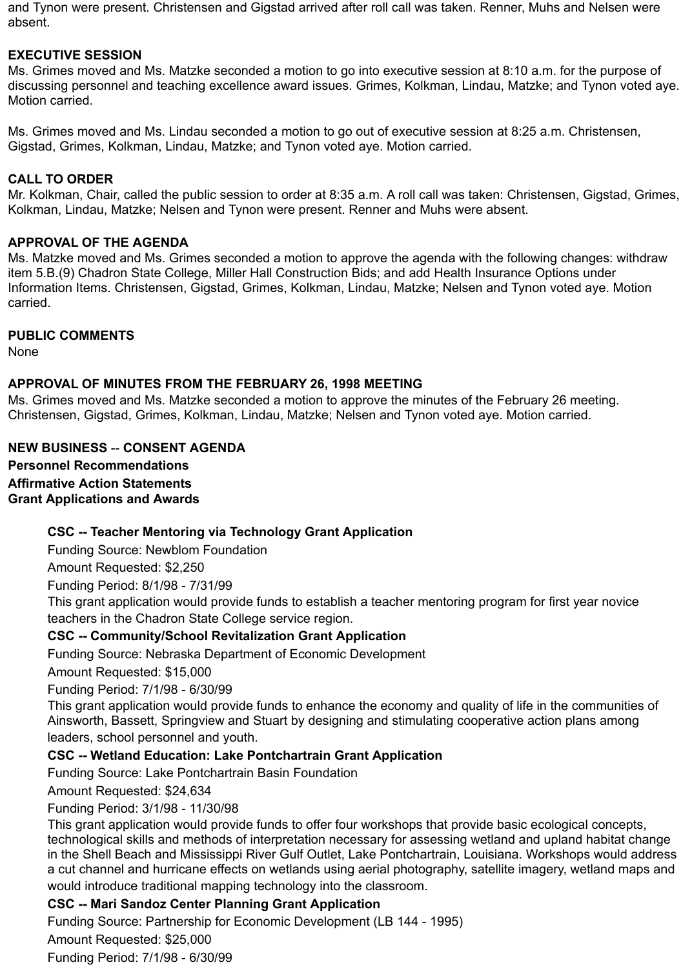and Tynon were present. Christensen and Gigstad arrived after roll call was taken. Renner, Muhs and Nelsen were absent.

# **EXECUTIVE SESSION**

Ms. Grimes moved and Ms. Matzke seconded a motion to go into executive session at 8:10 a.m. for the purpose of discussing personnel and teaching excellence award issues. Grimes, Kolkman, Lindau, Matzke; and Tynon voted aye. Motion carried.

Ms. Grimes moved and Ms. Lindau seconded a motion to go out of executive session at 8:25 a.m. Christensen, Gigstad, Grimes, Kolkman, Lindau, Matzke; and Tynon voted aye. Motion carried.

# **CALL TO ORDER**

Mr. Kolkman, Chair, called the public session to order at 8:35 a.m. A roll call was taken: Christensen, Gigstad, Grimes, Kolkman, Lindau, Matzke; Nelsen and Tynon were present. Renner and Muhs were absent.

#### **APPROVAL OF THE AGENDA**

Ms. Matzke moved and Ms. Grimes seconded a motion to approve the agenda with the following changes: withdraw item 5.B.(9) Chadron State College, Miller Hall Construction Bids; and add Health Insurance Options under Information Items. Christensen, Gigstad, Grimes, Kolkman, Lindau, Matzke; Nelsen and Tynon voted aye. Motion carried.

## **PUBLIC COMMENTS**

None

## **APPROVAL OF MINUTES FROM THE FEBRUARY 26, 1998 MEETING**

Ms. Grimes moved and Ms. Matzke seconded a motion to approve the minutes of the February 26 meeting. Christensen, Gigstad, Grimes, Kolkman, Lindau, Matzke; Nelsen and Tynon voted aye. Motion carried.

# **NEW BUSINESS** -- **CONSENT AGENDA**

**Personnel Recommendations Affirmative Action Statements Grant Applications and Awards**

# **CSC -- Teacher Mentoring via Technology Grant Application**

Funding Source: Newblom Foundation

Amount Requested: \$2,250

Funding Period: 8/1/98 - 7/31/99

This grant application would provide funds to establish a teacher mentoring program for first year novice teachers in the Chadron State College service region.

# **CSC -- Community/School Revitalization Grant Application**

Funding Source: Nebraska Department of Economic Development

Amount Requested: \$15,000

Funding Period: 7/1/98 - 6/30/99

This grant application would provide funds to enhance the economy and quality of life in the communities of Ainsworth, Bassett, Springview and Stuart by designing and stimulating cooperative action plans among leaders, school personnel and youth.

# **CSC -- Wetland Education: Lake Pontchartrain Grant Application**

Funding Source: Lake Pontchartrain Basin Foundation

Amount Requested: \$24,634

# Funding Period: 3/1/98 - 11/30/98

This grant application would provide funds to offer four workshops that provide basic ecological concepts, technological skills and methods of interpretation necessary for assessing wetland and upland habitat change in the Shell Beach and Mississippi River Gulf Outlet, Lake Pontchartrain, Louisiana. Workshops would address a cut channel and hurricane effects on wetlands using aerial photography, satellite imagery, wetland maps and would introduce traditional mapping technology into the classroom.

# **CSC -- Mari Sandoz Center Planning Grant Application**

Funding Source: Partnership for Economic Development (LB 144 - 1995)

Amount Requested: \$25,000

Funding Period: 7/1/98 - 6/30/99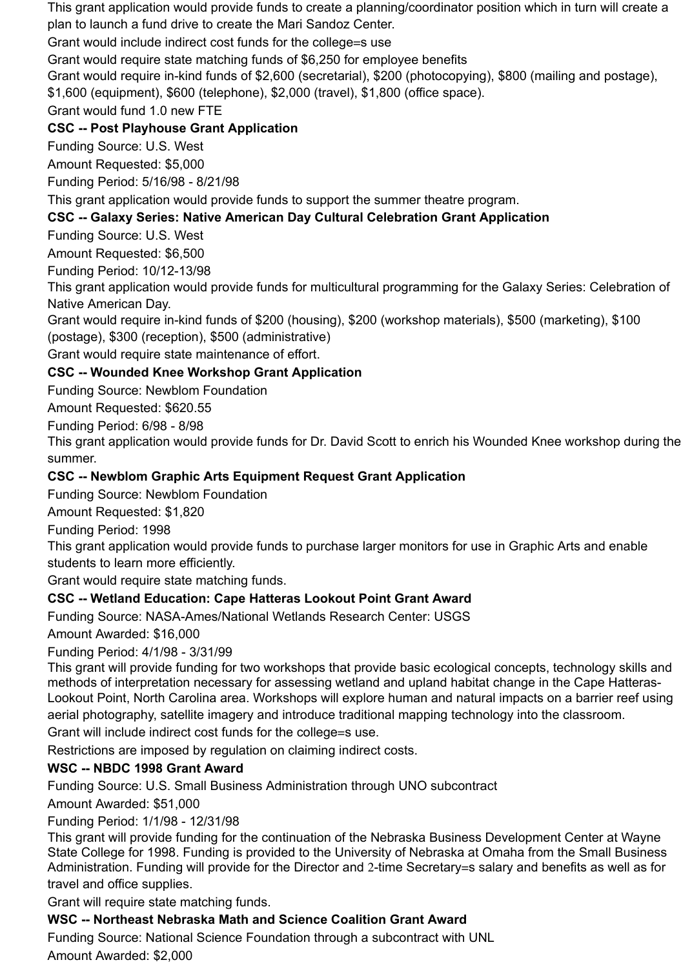This grant application would provide funds to create a planning/coordinator position which in turn will create a plan to launch a fund drive to create the Mari Sandoz Center.

Grant would include indirect cost funds for the college=s use

Grant would require state matching funds of \$6,250 for employee benefits

Grant would require in-kind funds of \$2,600 (secretarial), \$200 (photocopying), \$800 (mailing and postage),

\$1,600 (equipment), \$600 (telephone), \$2,000 (travel), \$1,800 (office space).

Grant would fund 1.0 new FTE

# **CSC -- Post Playhouse Grant Application**

Funding Source: U.S. West

Amount Requested: \$5,000

Funding Period: 5/16/98 - 8/21/98

This grant application would provide funds to support the summer theatre program.

# **CSC -- Galaxy Series: Native American Day Cultural Celebration Grant Application**

Funding Source: U.S. West

Amount Requested: \$6,500

Funding Period: 10/12-13/98

This grant application would provide funds for multicultural programming for the Galaxy Series: Celebration of Native American Day.

Grant would require in-kind funds of \$200 (housing), \$200 (workshop materials), \$500 (marketing), \$100 (postage), \$300 (reception), \$500 (administrative)

Grant would require state maintenance of effort.

# **CSC -- Wounded Knee Workshop Grant Application**

Funding Source: Newblom Foundation

Amount Requested: \$620.55

Funding Period: 6/98 - 8/98

This grant application would provide funds for Dr. David Scott to enrich his Wounded Knee workshop during the summer.

# **CSC -- Newblom Graphic Arts Equipment Request Grant Application**

Funding Source: Newblom Foundation

Amount Requested: \$1,820

Funding Period: 1998

This grant application would provide funds to purchase larger monitors for use in Graphic Arts and enable students to learn more efficiently.

Grant would require state matching funds.

# **CSC -- Wetland Education: Cape Hatteras Lookout Point Grant Award**

Funding Source: NASA-Ames/National Wetlands Research Center: USGS

Amount Awarded: \$16,000

Funding Period: 4/1/98 - 3/31/99

This grant will provide funding for two workshops that provide basic ecological concepts, technology skills and methods of interpretation necessary for assessing wetland and upland habitat change in the Cape Hatteras-Lookout Point, North Carolina area. Workshops will explore human and natural impacts on a barrier reef using aerial photography, satellite imagery and introduce traditional mapping technology into the classroom.

Grant will include indirect cost funds for the college=s use.

Restrictions are imposed by regulation on claiming indirect costs.

# **WSC -- NBDC 1998 Grant Award**

Funding Source: U.S. Small Business Administration through UNO subcontract

Amount Awarded: \$51,000

Funding Period: 1/1/98 - 12/31/98

This grant will provide funding for the continuation of the Nebraska Business Development Center at Wayne State College for 1998. Funding is provided to the University of Nebraska at Omaha from the Small Business Administration. Funding will provide for the Director and 2-time Secretary=s salary and benefits as well as for travel and office supplies.

Grant will require state matching funds.

# **WSC -- Northeast Nebraska Math and Science Coalition Grant Award**

Funding Source: National Science Foundation through a subcontract with UNL Amount Awarded: \$2,000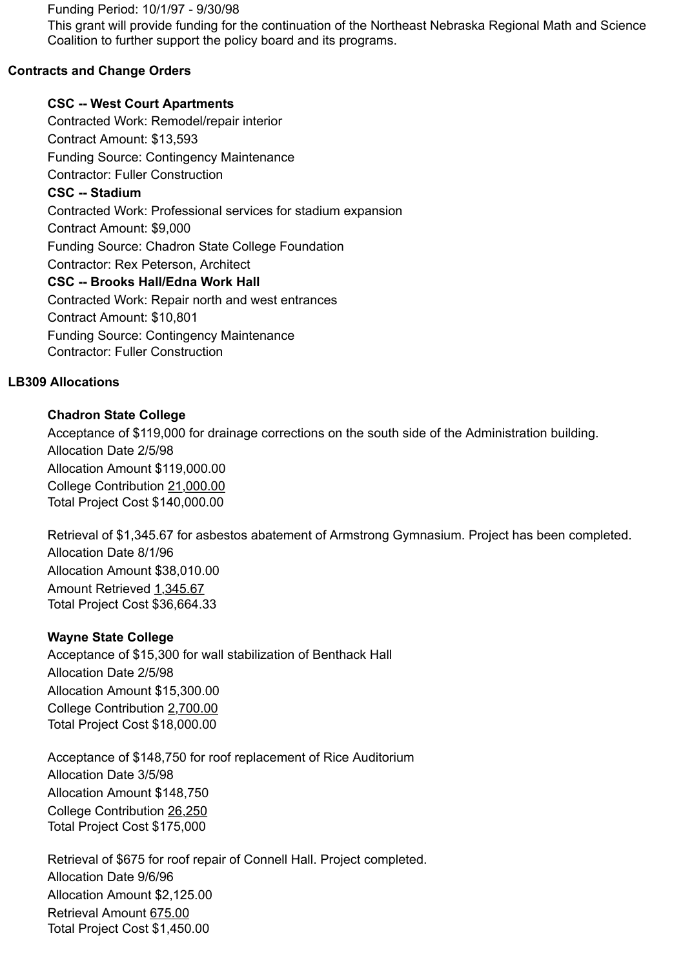Funding Period: 10/1/97 - 9/30/98

This grant will provide funding for the continuation of the Northeast Nebraska Regional Math and Science Coalition to further support the policy board and its programs.

# **Contracts and Change Orders**

# **CSC -- West Court Apartments**

Contracted Work: Remodel/repair interior Contract Amount: \$13,593 Funding Source: Contingency Maintenance Contractor: Fuller Construction **CSC -- Stadium** Contracted Work: Professional services for stadium expansion Contract Amount: \$9,000 Funding Source: Chadron State College Foundation Contractor: Rex Peterson, Architect **CSC -- Brooks Hall/Edna Work Hall** Contracted Work: Repair north and west entrances Contract Amount: \$10,801 Funding Source: Contingency Maintenance Contractor: Fuller Construction

## **LB309 Allocations**

# **Chadron State College**

Acceptance of \$119,000 for drainage corrections on the south side of the Administration building. Allocation Date 2/5/98 Allocation Amount \$119,000.00 College Contribution 21,000.00 Total Project Cost \$140,000.00

Retrieval of \$1,345.67 for asbestos abatement of Armstrong Gymnasium. Project has been completed. Allocation Date 8/1/96 Allocation Amount \$38,010.00 Amount Retrieved 1,345.67 Total Project Cost \$36,664.33

# **Wayne State College**

Acceptance of \$15,300 for wall stabilization of Benthack Hall Allocation Date 2/5/98 Allocation Amount \$15,300.00 College Contribution 2,700.00 Total Project Cost \$18,000.00

Acceptance of \$148,750 for roof replacement of Rice Auditorium Allocation Date 3/5/98 Allocation Amount \$148,750 College Contribution 26,250 Total Project Cost \$175,000

Retrieval of \$675 for roof repair of Connell Hall. Project completed. Allocation Date 9/6/96 Allocation Amount \$2,125.00 Retrieval Amount 675.00 Total Project Cost \$1,450.00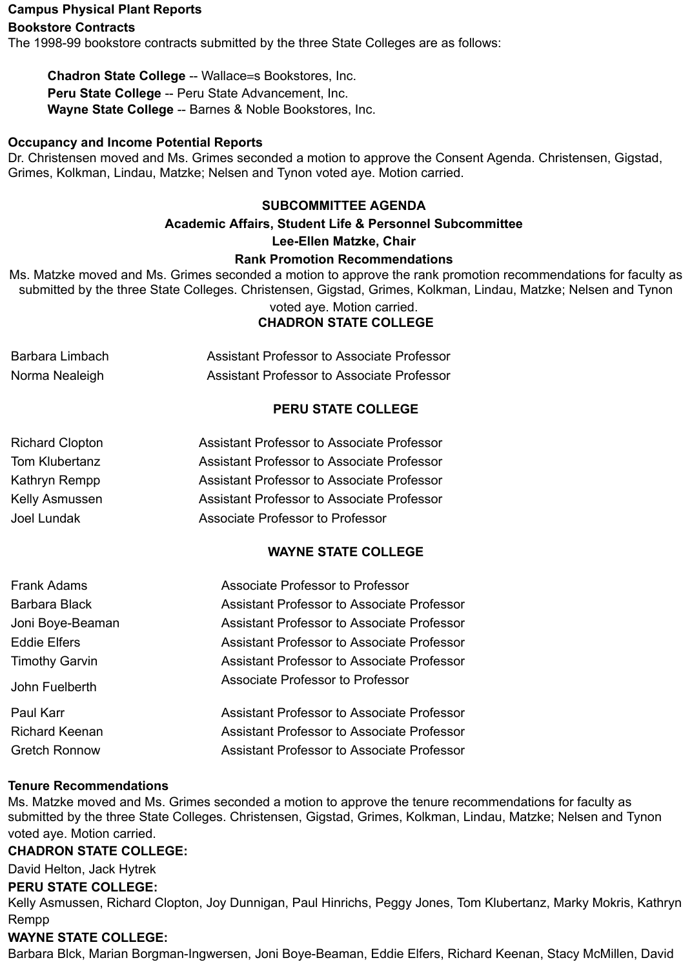#### **Campus Physical Plant Reports**

#### **Bookstore Contracts**

The 1998-99 bookstore contracts submitted by the three State Colleges are as follows:

**Chadron State College** -- Wallace=s Bookstores, Inc. **Peru State College** -- Peru State Advancement, Inc. **Wayne State College** -- Barnes & Noble Bookstores, Inc.

#### **Occupancy and Income Potential Reports**

Dr. Christensen moved and Ms. Grimes seconded a motion to approve the Consent Agenda. Christensen, Gigstad, Grimes, Kolkman, Lindau, Matzke; Nelsen and Tynon voted aye. Motion carried.

#### **SUBCOMMITTEE AGENDA**

# **Academic Affairs, Student Life & Personnel Subcommittee**

#### **Lee-Ellen Matzke, Chair**

#### **Rank Promotion Recommendations**

Ms. Matzke moved and Ms. Grimes seconded a motion to approve the rank promotion recommendations for faculty as submitted by the three State Colleges. Christensen, Gigstad, Grimes, Kolkman, Lindau, Matzke; Nelsen and Tynon

#### voted aye. Motion carried. **CHADRON STATE COLLEGE**

| Barbara Limbach | <b>Assistant Professor to Associate Professor</b> |
|-----------------|---------------------------------------------------|
| Norma Nealeigh  | <b>Assistant Professor to Associate Professor</b> |

# **PERU STATE COLLEGE**

| <b>Richard Clopton</b> | <b>Assistant Professor to Associate Professor</b> |
|------------------------|---------------------------------------------------|
| Tom Klubertanz         | <b>Assistant Professor to Associate Professor</b> |
| Kathryn Rempp          | <b>Assistant Professor to Associate Professor</b> |
| <b>Kelly Asmussen</b>  | Assistant Professor to Associate Professor        |
| Joel Lundak            | <b>Associate Professor to Professor</b>           |
|                        |                                                   |

# **WAYNE STATE COLLEGE**

| <b>Frank Adams</b>    | <b>Associate Professor to Professor</b>           |
|-----------------------|---------------------------------------------------|
| Barbara Black         | <b>Assistant Professor to Associate Professor</b> |
| Joni Boye-Beaman      | Assistant Professor to Associate Professor        |
| <b>Eddie Elfers</b>   | Assistant Professor to Associate Professor        |
| <b>Timothy Garvin</b> | Assistant Professor to Associate Professor        |
| John Fuelberth        | Associate Professor to Professor                  |
| Paul Karr             | <b>Assistant Professor to Associate Professor</b> |
| <b>Richard Keenan</b> | <b>Assistant Professor to Associate Professor</b> |
| <b>Gretch Ronnow</b>  | <b>Assistant Professor to Associate Professor</b> |

#### **Tenure Recommendations**

Ms. Matzke moved and Ms. Grimes seconded a motion to approve the tenure recommendations for faculty as submitted by the three State Colleges. Christensen, Gigstad, Grimes, Kolkman, Lindau, Matzke; Nelsen and Tynon voted aye. Motion carried.

#### **CHADRON STATE COLLEGE:**

David Helton, Jack Hytrek

#### **PERU STATE COLLEGE:**

Kelly Asmussen, Richard Clopton, Joy Dunnigan, Paul Hinrichs, Peggy Jones, Tom Klubertanz, Marky Mokris, Kathryn Rempp

# **WAYNE STATE COLLEGE:**

Barbara Blck, Marian Borgman-Ingwersen, Joni Boye-Beaman, Eddie Elfers, Richard Keenan, Stacy McMillen, David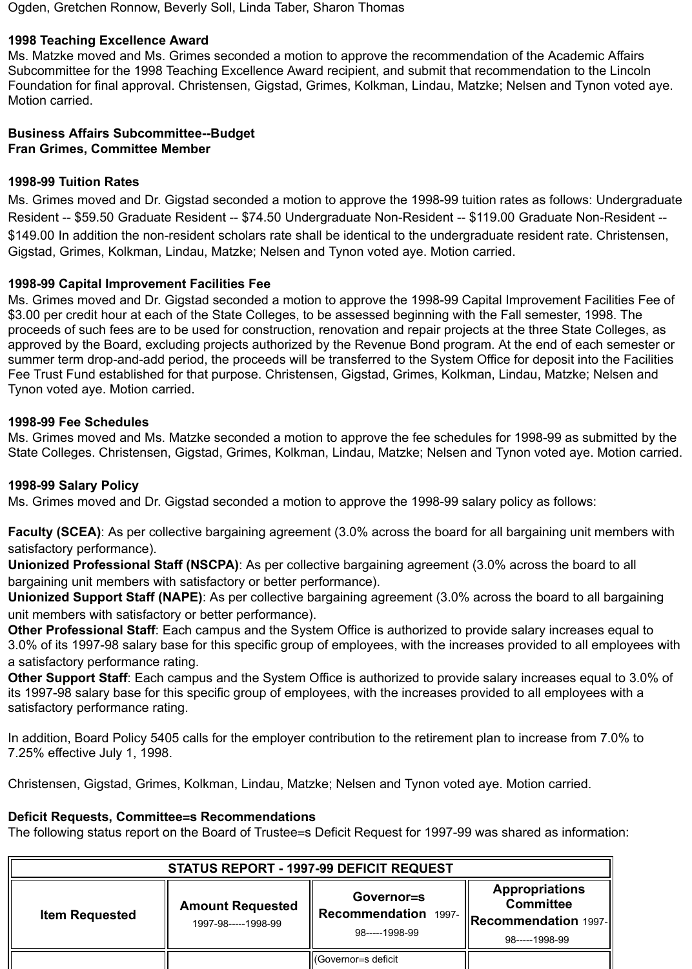Ogden, Gretchen Ronnow, Beverly Soll, Linda Taber, Sharon Thomas

## **1998 Teaching Excellence Award**

Ms. Matzke moved and Ms. Grimes seconded a motion to approve the recommendation of the Academic Affairs Subcommittee for the 1998 Teaching Excellence Award recipient, and submit that recommendation to the Lincoln Foundation for final approval. Christensen, Gigstad, Grimes, Kolkman, Lindau, Matzke; Nelsen and Tynon voted aye. Motion carried.

## **Business Affairs Subcommittee--Budget Fran Grimes, Committee Member**

## **1998-99 Tuition Rates**

Ms. Grimes moved and Dr. Gigstad seconded a motion to approve the 1998-99 tuition rates as follows: Undergraduate Resident -- \$59.50 Graduate Resident -- \$74.50 Undergraduate Non-Resident -- \$119.00 Graduate Non-Resident -- \$149.00 In addition the non-resident scholars rate shall be identical to the undergraduate resident rate. Christensen, Gigstad, Grimes, Kolkman, Lindau, Matzke; Nelsen and Tynon voted aye. Motion carried.

## **1998-99 Capital Improvement Facilities Fee**

Ms. Grimes moved and Dr. Gigstad seconded a motion to approve the 1998-99 Capital Improvement Facilities Fee of \$3.00 per credit hour at each of the State Colleges, to be assessed beginning with the Fall semester, 1998. The proceeds of such fees are to be used for construction, renovation and repair projects at the three State Colleges, as approved by the Board, excluding projects authorized by the Revenue Bond program. At the end of each semester or summer term drop-and-add period, the proceeds will be transferred to the System Office for deposit into the Facilities Fee Trust Fund established for that purpose. Christensen, Gigstad, Grimes, Kolkman, Lindau, Matzke; Nelsen and Tynon voted aye. Motion carried.

## **1998-99 Fee Schedules**

Ms. Grimes moved and Ms. Matzke seconded a motion to approve the fee schedules for 1998-99 as submitted by the State Colleges. Christensen, Gigstad, Grimes, Kolkman, Lindau, Matzke; Nelsen and Tynon voted aye. Motion carried.

#### **1998-99 Salary Policy**

Ms. Grimes moved and Dr. Gigstad seconded a motion to approve the 1998-99 salary policy as follows:

**Faculty (SCEA)**: As per collective bargaining agreement (3.0% across the board for all bargaining unit members with satisfactory performance).

**Unionized Professional Staff (NSCPA)**: As per collective bargaining agreement (3.0% across the board to all bargaining unit members with satisfactory or better performance).

**Unionized Support Staff (NAPE)**: As per collective bargaining agreement (3.0% across the board to all bargaining unit members with satisfactory or better performance).

**Other Professional Staff**: Each campus and the System Office is authorized to provide salary increases equal to 3.0% of its 1997-98 salary base for this specific group of employees, with the increases provided to all employees with a satisfactory performance rating.

**Other Support Staff**: Each campus and the System Office is authorized to provide salary increases equal to 3.0% of its 1997-98 salary base for this specific group of employees, with the increases provided to all employees with a satisfactory performance rating.

In addition, Board Policy 5405 calls for the employer contribution to the retirement plan to increase from 7.0% to 7.25% effective July 1, 1998.

Christensen, Gigstad, Grimes, Kolkman, Lindau, Matzke; Nelsen and Tynon voted aye. Motion carried.

#### **Deficit Requests, Committee=s Recommendations**

The following status report on the Board of Trustee=s Deficit Request for 1997-99 was shared as information:

| <b>STATUS REPORT - 1997-99 DEFICIT REQUEST</b> |                                                |                                                         |                                                                                       |
|------------------------------------------------|------------------------------------------------|---------------------------------------------------------|---------------------------------------------------------------------------------------|
| <b>Item Requested</b>                          | <b>Amount Requested</b><br>1997-98-----1998-99 | Governor=s<br>Recommendation 1997-<br>$98$ -----1998-99 | <b>Appropriations</b><br><b>Committee</b><br>Recommendation 1997- '<br>$98---1998-99$ |
|                                                |                                                | Governor=s deficit                                      |                                                                                       |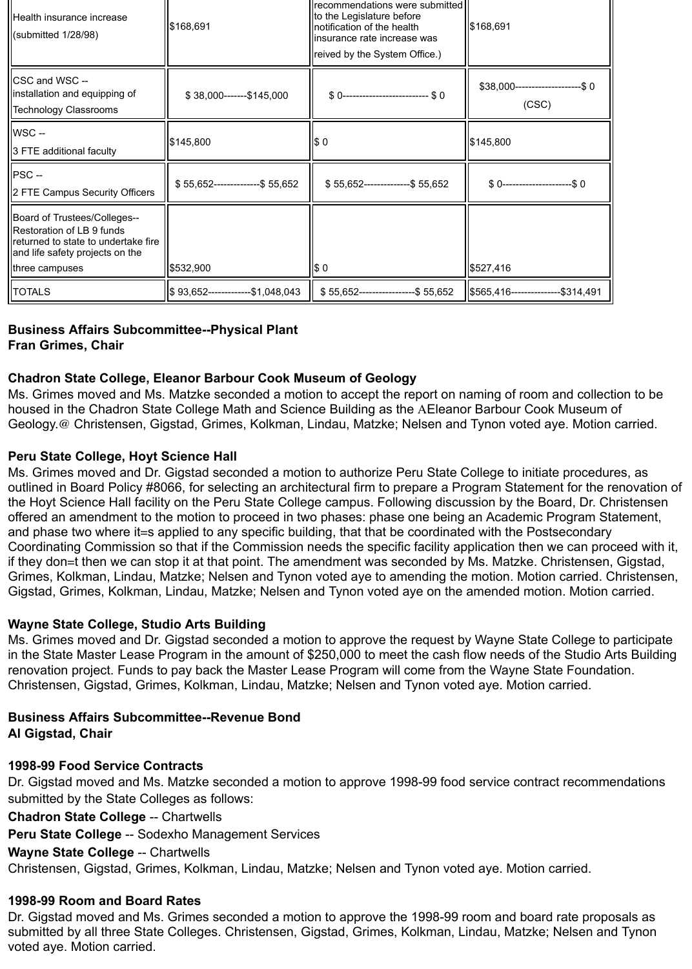| Health insurance increase<br>$\left  \right $ (submitted 1/28/98)                                                                                     | recommendations were submitted<br>to the Legislature before<br>\$168,691<br>notification of the health<br>linsurance rate increase was<br>reived by the System Office.) |                                       | \$168,691                                   |  |
|-------------------------------------------------------------------------------------------------------------------------------------------------------|-------------------------------------------------------------------------------------------------------------------------------------------------------------------------|---------------------------------------|---------------------------------------------|--|
| <b>CSC and WSC --</b><br>linstallation and equipping of<br><b>Technology Classrooms</b>                                                               | $$38,000$ -------\$145,000                                                                                                                                              | $$0$ --------------------------- $$0$ | $$38,000$ ---------------------\$0<br>(CSC) |  |
| WSC-<br>3 FTE additional faculty                                                                                                                      | \$145,800                                                                                                                                                               | $\boldsymbol{\mathsf{s}}$ 0           | \$145,800                                   |  |
| <b>PSC-</b><br>  2 FTE Campus Security Officers                                                                                                       | \$55,652----------------\$55,652                                                                                                                                        | $$55,652$ ---------------\$ 55,652    | $$0$ ----------------------\$0              |  |
| Board of Trustees/Colleges--<br>Restoration of LB 9 funds<br>returned to state to undertake fire<br>and life safety projects on the<br>three campuses | \$532,900                                                                                                                                                               | $\frac{1}{2}$                         | \$527,416                                   |  |
| <b>TOTALS</b>                                                                                                                                         | \$93,652-------------\$1,048,043                                                                                                                                        | $$55,652$ ------------------\$ 55,652 | \$565,416---------------\$314,491           |  |

# **Business Affairs Subcommittee--Physical Plant**

# **Fran Grimes, Chair**

# **Chadron State College, Eleanor Barbour Cook Museum of Geology**

Ms. Grimes moved and Ms. Matzke seconded a motion to accept the report on naming of room and collection to be housed in the Chadron State College Math and Science Building as the AEleanor Barbour Cook Museum of Geology.@ Christensen, Gigstad, Grimes, Kolkman, Lindau, Matzke; Nelsen and Tynon voted aye. Motion carried.

# **Peru State College, Hoyt Science Hall**

Ms. Grimes moved and Dr. Gigstad seconded a motion to authorize Peru State College to initiate procedures, as outlined in Board Policy #8066, for selecting an architectural firm to prepare a Program Statement for the renovation of the Hoyt Science Hall facility on the Peru State College campus. Following discussion by the Board, Dr. Christensen offered an amendment to the motion to proceed in two phases: phase one being an Academic Program Statement, and phase two where it=s applied to any specific building, that that be coordinated with the Postsecondary Coordinating Commission so that if the Commission needs the specific facility application then we can proceed with it, if they don=t then we can stop it at that point. The amendment was seconded by Ms. Matzke. Christensen, Gigstad, Grimes, Kolkman, Lindau, Matzke; Nelsen and Tynon voted aye to amending the motion. Motion carried. Christensen, Gigstad, Grimes, Kolkman, Lindau, Matzke; Nelsen and Tynon voted aye on the amended motion. Motion carried.

# **Wayne State College, Studio Arts Building**

Ms. Grimes moved and Dr. Gigstad seconded a motion to approve the request by Wayne State College to participate in the State Master Lease Program in the amount of \$250,000 to meet the cash flow needs of the Studio Arts Building renovation project. Funds to pay back the Master Lease Program will come from the Wayne State Foundation. Christensen, Gigstad, Grimes, Kolkman, Lindau, Matzke; Nelsen and Tynon voted aye. Motion carried.

#### **Business Affairs Subcommittee--Revenue Bond Al Gigstad, Chair**

#### **1998-99 Food Service Contracts**

Dr. Gigstad moved and Ms. Matzke seconded a motion to approve 1998-99 food service contract recommendations submitted by the State Colleges as follows:

**Chadron State College** -- Chartwells

**Peru State College** -- Sodexho Management Services

#### **Wayne State College** -- Chartwells

Christensen, Gigstad, Grimes, Kolkman, Lindau, Matzke; Nelsen and Tynon voted aye. Motion carried.

#### **1998-99 Room and Board Rates**

Dr. Gigstad moved and Ms. Grimes seconded a motion to approve the 1998-99 room and board rate proposals as submitted by all three State Colleges. Christensen, Gigstad, Grimes, Kolkman, Lindau, Matzke; Nelsen and Tynon voted aye. Motion carried.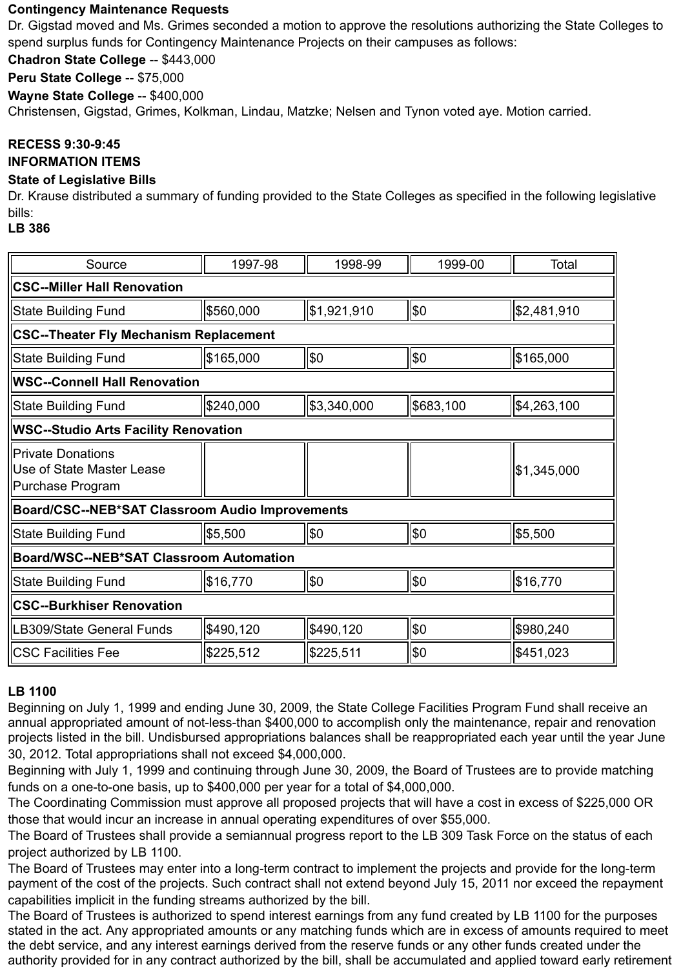# **Contingency Maintenance Requests**

Dr. Gigstad moved and Ms. Grimes seconded a motion to approve the resolutions authorizing the State Colleges to spend surplus funds for Contingency Maintenance Projects on their campuses as follows:

**Chadron State College** -- \$443,000

**Peru State College** -- \$75,000

**Wayne State College** -- \$400,000

Christensen, Gigstad, Grimes, Kolkman, Lindau, Matzke; Nelsen and Tynon voted aye. Motion carried.

# **RECESS 9:30-9:45**

## **INFORMATION ITEMS**

# **State of Legislative Bills**

Dr. Krause distributed a summary of funding provided to the State Colleges as specified in the following legislative bills:

#### **LB 386**

| Source                                                                    | 1997-98   | 1998-99     | 1999-00   | <b>Total</b>           |  |  |
|---------------------------------------------------------------------------|-----------|-------------|-----------|------------------------|--|--|
| <b>CSC--Miller Hall Renovation</b>                                        |           |             |           |                        |  |  |
| <b>State Building Fund</b>                                                | \$560,000 | \$1,921,910 | \$0       | \$2,481,910            |  |  |
| <b>CSC--Theater Fly Mechanism Replacement</b>                             |           |             |           |                        |  |  |
| <b>State Building Fund</b>                                                | \$165,000 | \$0         | \$0       | \$165,000              |  |  |
| <b>WSC--Connell Hall Renovation</b>                                       |           |             |           |                        |  |  |
| <b>State Building Fund</b>                                                | \$240,000 | \$3,340,000 | \$683,100 | $\frac{1}{3}4,263,100$ |  |  |
| <b>WSC--Studio Arts Facility Renovation</b>                               |           |             |           |                        |  |  |
| <b>Private Donations</b><br>Use of State Master Lease<br>Purchase Program |           |             |           | \$1,345,000            |  |  |
| Board/CSC--NEB*SAT Classroom Audio Improvements                           |           |             |           |                        |  |  |
| <b>State Building Fund</b>                                                | \$5,500   | \$0         | \$0       | \$5,500                |  |  |
| <b>Board/WSC--NEB*SAT Classroom Automation</b>                            |           |             |           |                        |  |  |
| <b>State Building Fund</b>                                                | \$16,770  | \$0         | \$0       | \$16,770               |  |  |
| <b>CSC--Burkhiser Renovation</b>                                          |           |             |           |                        |  |  |
| LB309/State General Funds                                                 | \$490,120 | \$490,120   | \$0       | \$980,240              |  |  |
| <b>CSC Facilities Fee</b>                                                 | \$225,512 | \$225,511   | \$0       | \$451,023              |  |  |

# **LB 1100**

Beginning on July 1, 1999 and ending June 30, 2009, the State College Facilities Program Fund shall receive an annual appropriated amount of not-less-than \$400,000 to accomplish only the maintenance, repair and renovation projects listed in the bill. Undisbursed appropriations balances shall be reappropriated each year until the year June 30, 2012. Total appropriations shall not exceed \$4,000,000.

Beginning with July 1, 1999 and continuing through June 30, 2009, the Board of Trustees are to provide matching funds on a one-to-one basis, up to \$400,000 per year for a total of \$4,000,000.

The Coordinating Commission must approve all proposed projects that will have a cost in excess of \$225,000 OR those that would incur an increase in annual operating expenditures of over \$55,000.

The Board of Trustees shall provide a semiannual progress report to the LB 309 Task Force on the status of each project authorized by LB 1100.

The Board of Trustees may enter into a long-term contract to implement the projects and provide for the long-term payment of the cost of the projects. Such contract shall not extend beyond July 15, 2011 nor exceed the repayment capabilities implicit in the funding streams authorized by the bill.

The Board of Trustees is authorized to spend interest earnings from any fund created by LB 1100 for the purposes stated in the act. Any appropriated amounts or any matching funds which are in excess of amounts required to meet the debt service, and any interest earnings derived from the reserve funds or any other funds created under the authority provided for in any contract authorized by the bill, shall be accumulated and applied toward early retirement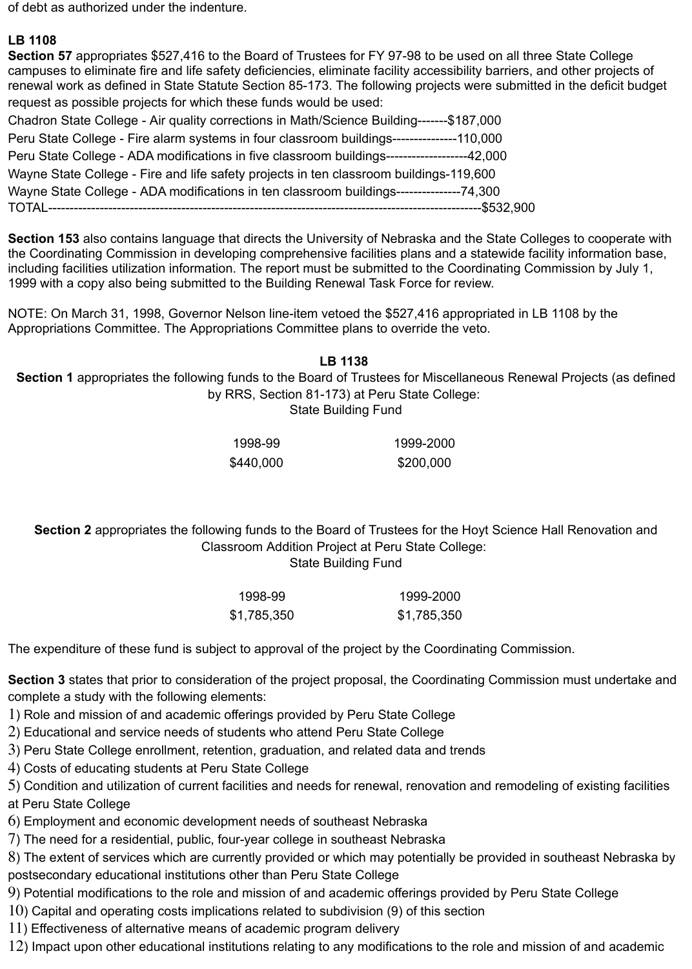of debt as authorized under the indenture.

# **LB 1108**

**Section 57** appropriates \$527,416 to the Board of Trustees for FY 97-98 to be used on all three State College campuses to eliminate fire and life safety deficiencies, eliminate facility accessibility barriers, and other projects of renewal work as defined in State Statute Section 85-173. The following projects were submitted in the deficit budget request as possible projects for which these funds would be used:

Chadron State College - Air quality corrections in Math/Science Building-------\$187,000 Peru State College - Fire alarm systems in four classroom buildings---------------110,000 Peru State College - ADA modifications in five classroom buildings-------------------42,000 Wayne State College - Fire and life safety projects in ten classroom buildings-119,600 Wayne State College - ADA modifications in ten classroom buildings---------------74,300 TOTAL-----------------------------------------------------------------------------------------------------\$532,900

**Section 153** also contains language that directs the University of Nebraska and the State Colleges to cooperate with the Coordinating Commission in developing comprehensive facilities plans and a statewide facility information base, including facilities utilization information. The report must be submitted to the Coordinating Commission by July 1, 1999 with a copy also being submitted to the Building Renewal Task Force for review.

NOTE: On March 31, 1998, Governor Nelson line-item vetoed the \$527,416 appropriated in LB 1108 by the Appropriations Committee. The Appropriations Committee plans to override the veto.

**LB 1138**

**Section 1** appropriates the following funds to the Board of Trustees for Miscellaneous Renewal Projects (as defined by RRS, Section 81-173) at Peru State College:

State Building Fund

1998-99 1999-2000 \$440,000 \$200,000

**Section 2** appropriates the following funds to the Board of Trustees for the Hoyt Science Hall Renovation and Classroom Addition Project at Peru State College: State Building Fund

> 1998-99 1999-2000 \$1,785,350 \$1,785,350

The expenditure of these fund is subject to approval of the project by the Coordinating Commission.

**Section 3** states that prior to consideration of the project proposal, the Coordinating Commission must undertake and complete a study with the following elements:

1) Role and mission of and academic offerings provided by Peru State College

2) Educational and service needs of students who attend Peru State College

3) Peru State College enrollment, retention, graduation, and related data and trends

4) Costs of educating students at Peru State College

5) Condition and utilization of current facilities and needs for renewal, renovation and remodeling of existing facilities at Peru State College

6) Employment and economic development needs of southeast Nebraska

7) The need for a residential, public, four-year college in southeast Nebraska

8) The extent of services which are currently provided or which may potentially be provided in southeast Nebraska by postsecondary educational institutions other than Peru State College

9) Potential modifications to the role and mission of and academic offerings provided by Peru State College

10) Capital and operating costs implications related to subdivision (9) of this section

11) Effectiveness of alternative means of academic program delivery

12) Impact upon other educational institutions relating to any modifications to the role and mission of and academic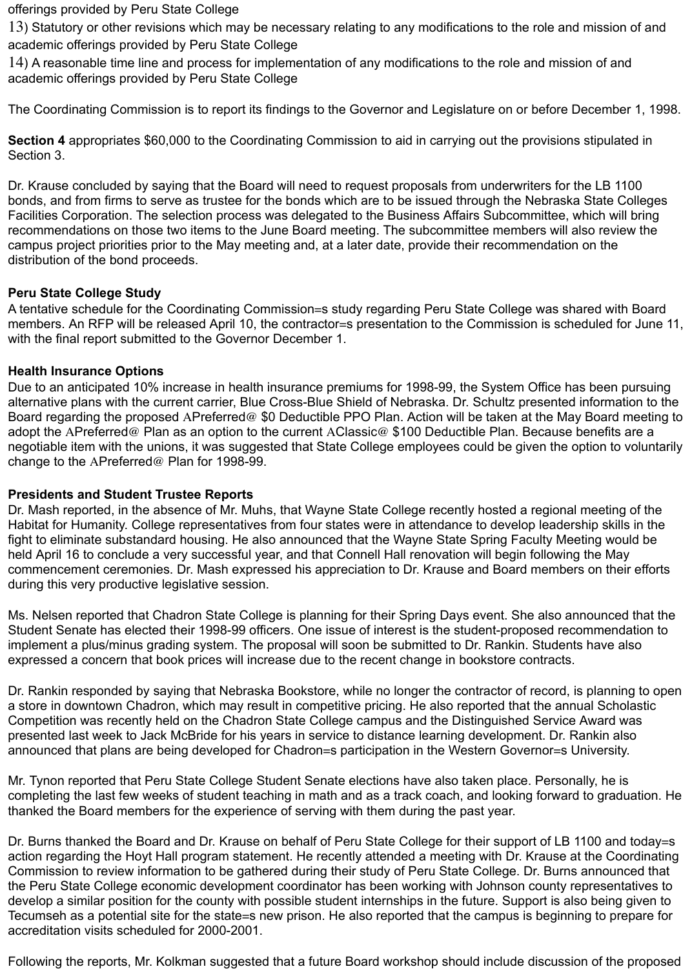offerings provided by Peru State College

13) Statutory or other revisions which may be necessary relating to any modifications to the role and mission of and academic offerings provided by Peru State College

14) A reasonable time line and process for implementation of any modifications to the role and mission of and academic offerings provided by Peru State College

The Coordinating Commission is to report its findings to the Governor and Legislature on or before December 1, 1998.

**Section 4** appropriates \$60,000 to the Coordinating Commission to aid in carrying out the provisions stipulated in Section 3.

Dr. Krause concluded by saying that the Board will need to request proposals from underwriters for the LB 1100 bonds, and from firms to serve as trustee for the bonds which are to be issued through the Nebraska State Colleges Facilities Corporation. The selection process was delegated to the Business Affairs Subcommittee, which will bring recommendations on those two items to the June Board meeting. The subcommittee members will also review the campus project priorities prior to the May meeting and, at a later date, provide their recommendation on the distribution of the bond proceeds.

## **Peru State College Study**

A tentative schedule for the Coordinating Commission=s study regarding Peru State College was shared with Board members. An RFP will be released April 10, the contractor=s presentation to the Commission is scheduled for June 11, with the final report submitted to the Governor December 1.

## **Health Insurance Options**

Due to an anticipated 10% increase in health insurance premiums for 1998-99, the System Office has been pursuing alternative plans with the current carrier, Blue Cross-Blue Shield of Nebraska. Dr. Schultz presented information to the Board regarding the proposed APreferred@ \$0 Deductible PPO Plan. Action will be taken at the May Board meeting to adopt the APreferred@ Plan as an option to the current AClassic@ \$100 Deductible Plan. Because benefits are a negotiable item with the unions, it was suggested that State College employees could be given the option to voluntarily change to the APreferred@ Plan for 1998-99.

#### **Presidents and Student Trustee Reports**

Dr. Mash reported, in the absence of Mr. Muhs, that Wayne State College recently hosted a regional meeting of the Habitat for Humanity. College representatives from four states were in attendance to develop leadership skills in the fight to eliminate substandard housing. He also announced that the Wayne State Spring Faculty Meeting would be held April 16 to conclude a very successful year, and that Connell Hall renovation will begin following the May commencement ceremonies. Dr. Mash expressed his appreciation to Dr. Krause and Board members on their efforts during this very productive legislative session.

Ms. Nelsen reported that Chadron State College is planning for their Spring Days event. She also announced that the Student Senate has elected their 1998-99 officers. One issue of interest is the student-proposed recommendation to implement a plus/minus grading system. The proposal will soon be submitted to Dr. Rankin. Students have also expressed a concern that book prices will increase due to the recent change in bookstore contracts.

Dr. Rankin responded by saying that Nebraska Bookstore, while no longer the contractor of record, is planning to open a store in downtown Chadron, which may result in competitive pricing. He also reported that the annual Scholastic Competition was recently held on the Chadron State College campus and the Distinguished Service Award was presented last week to Jack McBride for his years in service to distance learning development. Dr. Rankin also announced that plans are being developed for Chadron=s participation in the Western Governor=s University.

Mr. Tynon reported that Peru State College Student Senate elections have also taken place. Personally, he is completing the last few weeks of student teaching in math and as a track coach, and looking forward to graduation. He thanked the Board members for the experience of serving with them during the past year.

Dr. Burns thanked the Board and Dr. Krause on behalf of Peru State College for their support of LB 1100 and today=s action regarding the Hoyt Hall program statement. He recently attended a meeting with Dr. Krause at the Coordinating Commission to review information to be gathered during their study of Peru State College. Dr. Burns announced that the Peru State College economic development coordinator has been working with Johnson county representatives to develop a similar position for the county with possible student internships in the future. Support is also being given to Tecumseh as a potential site for the state=s new prison. He also reported that the campus is beginning to prepare for accreditation visits scheduled for 2000-2001.

Following the reports, Mr. Kolkman suggested that a future Board workshop should include discussion of the proposed